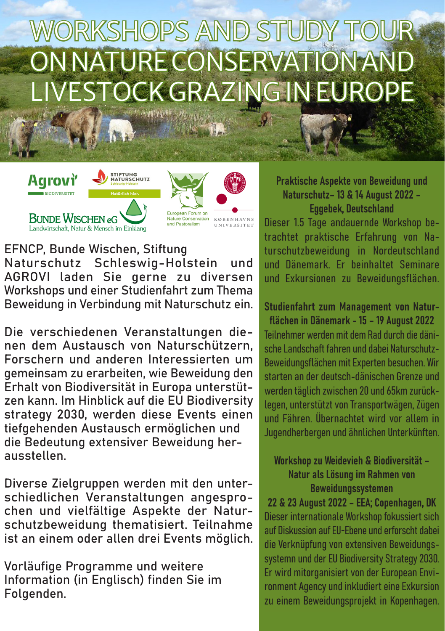# WORKSHOPS AND STUDY TOUR ON NATURE CONSERVATION AND LIVESTOCK GRAZING IN EUROPE





EFNCP, Bunde Wischen, Stiftung Naturschutz Schleswig-Holstein und AGROVI laden Sie gerne zu diversen Workshops und einer Studienfahrt zum Thema Beweidung in Verbindung mit Naturschutz ein.

Die verschiedenen Veranstaltungen dienen dem Austausch von Naturschützern, Forschern und anderen Interessierten um gemeinsam zu erarbeiten, wie Beweidung den Erhalt von Biodiversität in Europa unterstützen kann. Im Hinblick auf die EU Biodiversity strategy 2030, werden diese Events einen tiefgehenden Austausch ermöglichen und die Bedeutung extensiver Beweidung herausstellen.

Diverse Zielgruppen werden mit den unterschiedlichen Veranstaltungen angesprochen und vielfältige Aspekte der Naturschutzbeweidung thematisiert. Teilnahme ist an einem oder allen drei Events möglich.

Vorläufige Programme und weitere Information (in Englisch) finden Sie im Folgenden.

Praktische Aspekte von Beweidung und Naturschutz– 13 & 14 August 2022 – Eggebek, Deutschland

Dieser 1.5 Tage andauernde Workshop betrachtet praktische Erfahrung von Naturschutzbeweidung in Nordeutschland und Dänemark. Er beinhaltet Seminare und Exkursionen zu Beweidungsflächen.

Studienfahrt zum Management von Naturflächen in Dänemark - 15 – 19 August 2022 Teilnehmer werden mit dem Rad durch die dänische Landschaft fahren und dabei Naturschutz-Beweidungsflächen mit Experten besuchen. Wir starten an der deutsch-dänischen Grenze und werden täglich zwischen 20 und 65km zurücklegen, unterstützt von Transportwägen, Zügen und Fähren. Übernachtet wird vor allem in Jugendherbergen und ähnlichen Unterkünften.

Workshop zu Weidevieh & Biodiversität – Natur als Lösung im Rahmen von Beweidungssystemen

22 & 23 August 2022 – EEA; Copenhagen, DK Dieser internationale Workshop fokussiert sich auf Diskussion auf EU-Ebene und erforscht dabei die Verknüpfung von extensiven Beweidungssystemn und der EU Biodiversity Strategy 2030. Er wird mitorganisiert von der European Environment Agency und inkludiert eine Exkursion zu einem Beweidungsprojekt in Kopenhagen.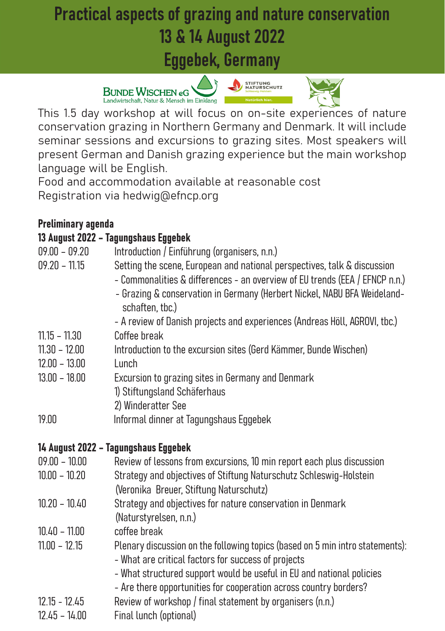### Practical aspects of grazing and nature conservation 13 & 14 August 2022

Eggebek, Germany







This 1.5 day workshop at will focus on on-site experiences of nature conservation grazing in Northern Germany and Denmark. It will include seminar sessions and excursions to grazing sites. Most speakers will present German and Danish grazing experience but the main workshop language will be English.

Food and accommodation available at reasonable cost Registration via hedwig@efncp.org

### Preliminary agenda

### 13 August 2022 – Tagungshaus Eggebek

| $09.00 - 09.20$                    | Introduction / Einführung (organisers, n.n.)                                                                                                                                                                                                                                       |
|------------------------------------|------------------------------------------------------------------------------------------------------------------------------------------------------------------------------------------------------------------------------------------------------------------------------------|
| $09.20 - 11.15$                    | Setting the scene, European and national perspectives, talk & discussion<br>- Commonalities & differences - an overview of EU trends (EEA / EFNCP n.n.)<br>- Grazing & conservation in Germany (Herbert Nickel, NABU BFA Weideland-<br>schaften, tbc.)                             |
|                                    | - A review of Danish projects and experiences (Andreas Höll, AGROVI, tbc.)                                                                                                                                                                                                         |
| $11.15 - 11.30$                    | Coffee break                                                                                                                                                                                                                                                                       |
| $11.30 - 12.00$<br>$12.00 - 13.00$ | Introduction to the excursion sites (Gerd Kämmer, Bunde Wischen)<br>Lunch                                                                                                                                                                                                          |
| $13.00 - 18.00$                    | Excursion to grazing sites in Germany and Denmark<br>1) Stiftungsland Schäferhaus<br>2) Winderatter See                                                                                                                                                                            |
| 19.00                              | Informal dinner at Tagungshaus Eggebek                                                                                                                                                                                                                                             |
|                                    | 14 August 2022 - Tagungshaus Eggebek                                                                                                                                                                                                                                               |
| $09.00 - 10.00$                    | Review of lessons from excursions, 10 min report each plus discussion                                                                                                                                                                                                              |
| $10.00 - 10.20$                    | Strategy and objectives of Stiftung Naturschutz Schleswig-Holstein<br>(Veronika Breuer, Stiftung Naturschutz)                                                                                                                                                                      |
| $10.20 - 10.40$                    | Strategy and objectives for nature conservation in Denmark<br>(Naturstyrelsen, n.n.)                                                                                                                                                                                               |
| $10.40 - 11.00$                    | coffee break                                                                                                                                                                                                                                                                       |
| $11.00 - 12.15$                    | Plenary discussion on the following topics (based on 5 min intro statements):<br>- What are critical factors for success of projects<br>- What structured support would be useful in EU and national policies<br>- Are there opportunities for cooperation across country borders? |
| $12.15 - 12.45$                    | Review of workshop / final statement by organisers (n.n.)                                                                                                                                                                                                                          |
| $12.45 - 14.00$                    | Final lunch (optional)                                                                                                                                                                                                                                                             |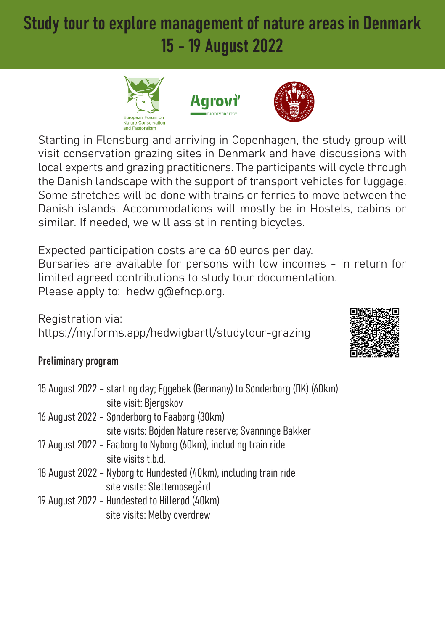### Study tour to explore management of nature areas in Denmark 15 - 19 August 2022







Starting in Flensburg and arriving in Copenhagen, the study group will visit conservation grazing sites in Denmark and have discussions with local experts and grazing practitioners. The participants will cycle through the Danish landscape with the support of transport vehicles for luggage. Some stretches will be done with trains or ferries to move between the Danish islands. Accommodations will mostly be in Hostels, cabins or similar. If needed, we will assist in renting bicycles.

Expected participation costs are ca 60 euros per day. Bursaries are available for persons with low incomes - in return for limited agreed contributions to study tour documentation. Please apply to: hedwig@efncp.org.

Registration via: https://my.forms.app/hedwigbartl/studytour-grazing



### Preliminary program

| 15 August 2022 - starting day; Eggebek (Germany) to Sønderborg (DK) (60km) |
|----------------------------------------------------------------------------|
| site visit: Bjergskov                                                      |
| 16 August 2022 - Sønderborg to Faaborg (30km)                              |
| site visits: Bøjden Nature reserve; Svanninge Bakker                       |
| 17 August 2022 - Faaborg to Nyborg (60km), including train ride            |
| site visits t.b.d.                                                         |
| 18 August 2022 - Nyborg to Hundested (40km), including train ride          |
| site visits: Slettemosegård                                                |
| 19 August 2022 - Hundested to Hillerød (40km)                              |
| site visits: Melby overdrew                                                |